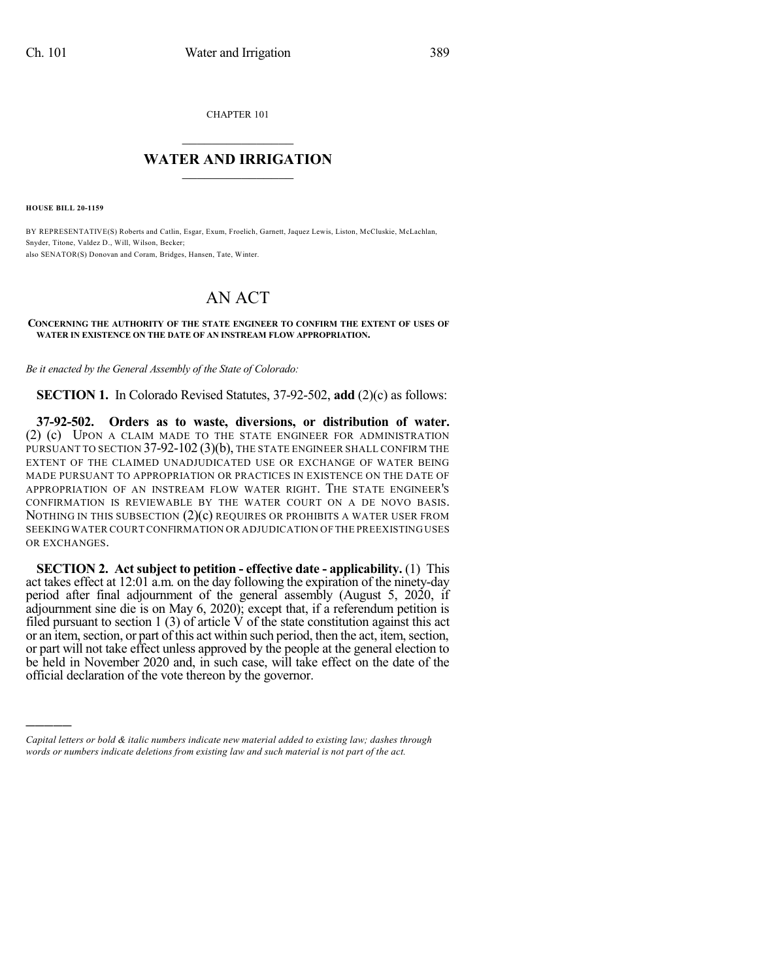CHAPTER 101

## $\overline{\phantom{a}}$  . The set of the set of the set of the set of the set of the set of the set of the set of the set of the set of the set of the set of the set of the set of the set of the set of the set of the set of the set o **WATER AND IRRIGATION**  $\_$   $\_$

**HOUSE BILL 20-1159**

)))))

BY REPRESENTATIVE(S) Roberts and Catlin, Esgar, Exum, Froelich, Garnett, Jaquez Lewis, Liston, McCluskie, McLachlan, Snyder, Titone, Valdez D., Will, Wilson, Becker; also SENATOR(S) Donovan and Coram, Bridges, Hansen, Tate, Winter.

## AN ACT

## **CONCERNING THE AUTHORITY OF THE STATE ENGINEER TO CONFIRM THE EXTENT OF USES OF WATER IN EXISTENCE ON THE DATE OF AN INSTREAM FLOW APPROPRIATION.**

*Be it enacted by the General Assembly of the State of Colorado:*

**SECTION 1.** In Colorado Revised Statutes, 37-92-502, **add** (2)(c) as follows:

**37-92-502. Orders as to waste, diversions, or distribution of water.** (2) (c) UPON A CLAIM MADE TO THE STATE ENGINEER FOR ADMINISTRATION PURSUANT TO SECTION 37-92-102 (3)(b), THE STATE ENGINEER SHALL CONFIRM THE EXTENT OF THE CLAIMED UNADJUDICATED USE OR EXCHANGE OF WATER BEING MADE PURSUANT TO APPROPRIATION OR PRACTICES IN EXISTENCE ON THE DATE OF APPROPRIATION OF AN INSTREAM FLOW WATER RIGHT. THE STATE ENGINEER'S CONFIRMATION IS REVIEWABLE BY THE WATER COURT ON A DE NOVO BASIS. NOTHING IN THIS SUBSECTION (2)(c) REQUIRES OR PROHIBITS A WATER USER FROM SEEKING WATER COURT CONFIRMATION OR ADJUDICATION OF THE PREEXISTING USES OR EXCHANGES.

**SECTION 2. Act subject to petition - effective date - applicability.** (1) This act takes effect at 12:01 a.m. on the day following the expiration of the ninety-day period after final adjournment of the general assembly (August 5, 2020, if adjournment sine die is on May 6, 2020); except that, if a referendum petition is filed pursuant to section 1 (3) of article  $\hat{V}$  of the state constitution against this act or an item, section, or part of this act within such period, then the act, item, section, or part will not take effect unless approved by the people at the general election to be held in November 2020 and, in such case, will take effect on the date of the official declaration of the vote thereon by the governor.

*Capital letters or bold & italic numbers indicate new material added to existing law; dashes through words or numbers indicate deletions from existing law and such material is not part of the act.*